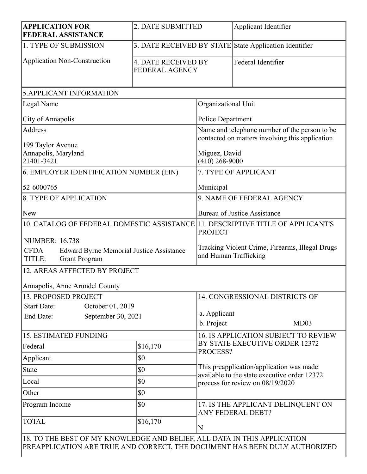| <b>APPLICATION FOR</b><br><b>FEDERAL ASSISTANCE</b>                                                                       | 2. DATE SUBMITTED                                      |                                                                                                                              | Applicant Identifier                       |  |
|---------------------------------------------------------------------------------------------------------------------------|--------------------------------------------------------|------------------------------------------------------------------------------------------------------------------------------|--------------------------------------------|--|
| 1. TYPE OF SUBMISSION                                                                                                     | 3. DATE RECEIVED BY STATE State Application Identifier |                                                                                                                              |                                            |  |
| <b>Application Non-Construction</b>                                                                                       | <b>4. DATE RECEIVED BY</b><br><b>FEDERAL AGENCY</b>    |                                                                                                                              | Federal Identifier                         |  |
| <b>5.APPLICANT INFORMATION</b>                                                                                            |                                                        |                                                                                                                              |                                            |  |
| Legal Name                                                                                                                |                                                        | Organizational Unit                                                                                                          |                                            |  |
| City of Annapolis                                                                                                         |                                                        | <b>Police Department</b>                                                                                                     |                                            |  |
| <b>Address</b><br>199 Taylor Avenue                                                                                       |                                                        | Name and telephone number of the person to be<br>contacted on matters involving this application                             |                                            |  |
| Annapolis, Maryland<br>21401-3421                                                                                         |                                                        | Miguez, David<br>$(410)$ 268-9000                                                                                            |                                            |  |
| 6. EMPLOYER IDENTIFICATION NUMBER (EIN)                                                                                   |                                                        | 7. TYPE OF APPLICANT                                                                                                         |                                            |  |
| 52-6000765                                                                                                                |                                                        | Municipal                                                                                                                    |                                            |  |
| <b>8. TYPE OF APPLICATION</b>                                                                                             |                                                        | 9. NAME OF FEDERAL AGENCY                                                                                                    |                                            |  |
| <b>New</b>                                                                                                                |                                                        | <b>Bureau of Justice Assistance</b>                                                                                          |                                            |  |
| 10. CATALOG OF FEDERAL DOMESTIC ASSISTANCE 11. DESCRIPTIVE TITLE OF APPLICANT'S                                           |                                                        | <b>PROJECT</b>                                                                                                               |                                            |  |
| <b>NUMBER: 16.738</b><br><b>CFDA</b><br><b>Edward Byrne Memorial Justice Assistance</b><br><b>Grant Program</b><br>TITLE: |                                                        | Tracking Violent Crime, Firearms, Illegal Drugs<br>and Human Trafficking                                                     |                                            |  |
| 12. AREAS AFFECTED BY PROJECT                                                                                             |                                                        |                                                                                                                              |                                            |  |
| Annapolis, Anne Arundel County                                                                                            |                                                        |                                                                                                                              |                                            |  |
| 13. PROPOSED PROJECT                                                                                                      |                                                        | 14. CONGRESSIONAL DISTRICTS OF                                                                                               |                                            |  |
| October 01, 2019<br><b>Start Date:</b><br>September 30, 2021<br>End Date:                                                 |                                                        | a. Applicant<br>b. Project                                                                                                   | MD03                                       |  |
| <b>15. ESTIMATED FUNDING</b>                                                                                              |                                                        | <b>16. IS APPLICATION SUBJECT TO REVIEW</b>                                                                                  |                                            |  |
| Federal                                                                                                                   | \$16,170                                               |                                                                                                                              | BY STATE EXECUTIVE ORDER 12372<br>PROCESS? |  |
| Applicant                                                                                                                 | \$0                                                    |                                                                                                                              |                                            |  |
| <b>State</b>                                                                                                              | \$0                                                    | This preapplication/application was made<br>available to the state executive order 12372<br>process for review on 08/19/2020 |                                            |  |
| Local                                                                                                                     | \$0                                                    |                                                                                                                              |                                            |  |
| Other                                                                                                                     | \$0                                                    |                                                                                                                              |                                            |  |
| Program Income                                                                                                            | \$0                                                    | 17. IS THE APPLICANT DELINQUENT ON<br>ANY FEDERAL DEBT?<br>N                                                                 |                                            |  |
| <b>TOTAL</b><br>18 TO THE REST OF MV KNOWI EDGE AND RELIEF ALL DATA IN THIS APPLICATION                                   | \$16,170                                               |                                                                                                                              |                                            |  |

18. TO THE BEST OF MY KNOWLEDGE AND BELIEF, ALL DATA IN THIS APPLICATION PREAPPLICATION ARE TRUE AND CORRECT, THE DOCUMENT HAS BEEN DULY AUTHORIZED